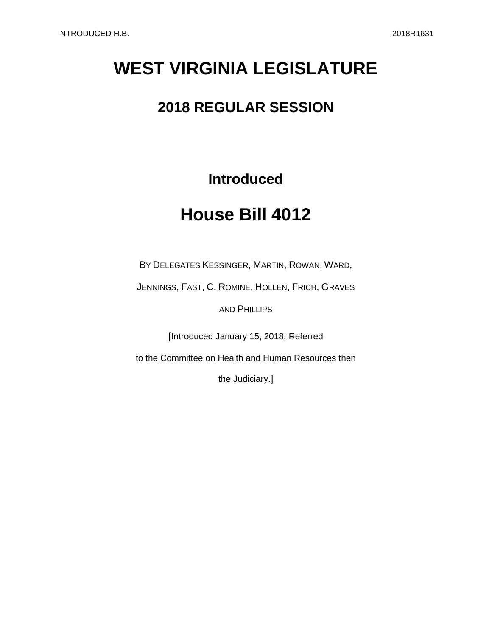# **WEST VIRGINIA LEGISLATURE**

## **2018 REGULAR SESSION**

### **Introduced**

## **House Bill 4012**

BY DELEGATES KESSINGER, MARTIN, ROWAN, WARD,

JENNINGS, FAST, C. ROMINE, HOLLEN, FRICH, GRAVES

AND PHILLIPS

[Introduced January 15, 2018; Referred

to the Committee on Health and Human Resources then

the Judiciary.]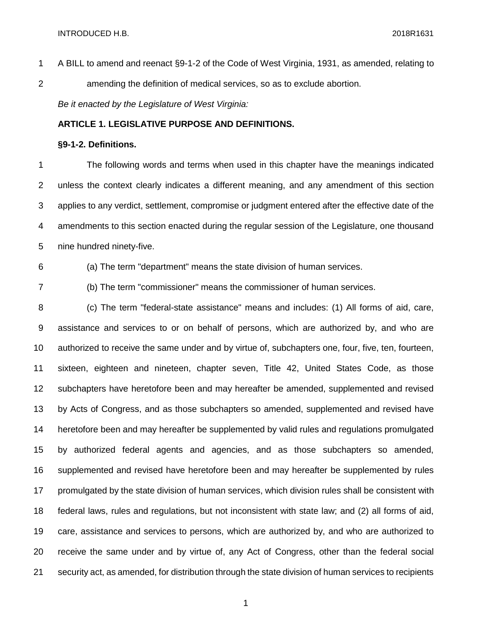A BILL to amend and reenact §9-1-2 of the Code of West Virginia, 1931, as amended, relating to amending the definition of medical services, so as to exclude abortion.

*Be it enacted by the Legislature of West Virginia:*

### **ARTICLE 1. LEGISLATIVE PURPOSE AND DEFINITIONS.**

#### **§9-1-2. Definitions.**

 The following words and terms when used in this chapter have the meanings indicated unless the context clearly indicates a different meaning, and any amendment of this section applies to any verdict, settlement, compromise or judgment entered after the effective date of the amendments to this section enacted during the regular session of the Legislature, one thousand nine hundred ninety-five.

(a) The term "department" means the state division of human services.

(b) The term "commissioner" means the commissioner of human services.

 (c) The term "federal-state assistance" means and includes: (1) All forms of aid, care, assistance and services to or on behalf of persons, which are authorized by, and who are authorized to receive the same under and by virtue of, subchapters one, four, five, ten, fourteen, sixteen, eighteen and nineteen, chapter seven, Title 42, United States Code, as those subchapters have heretofore been and may hereafter be amended, supplemented and revised by Acts of Congress, and as those subchapters so amended, supplemented and revised have heretofore been and may hereafter be supplemented by valid rules and regulations promulgated by authorized federal agents and agencies, and as those subchapters so amended, supplemented and revised have heretofore been and may hereafter be supplemented by rules promulgated by the state division of human services, which division rules shall be consistent with federal laws, rules and regulations, but not inconsistent with state law; and (2) all forms of aid, care, assistance and services to persons, which are authorized by, and who are authorized to receive the same under and by virtue of, any Act of Congress, other than the federal social security act, as amended, for distribution through the state division of human services to recipients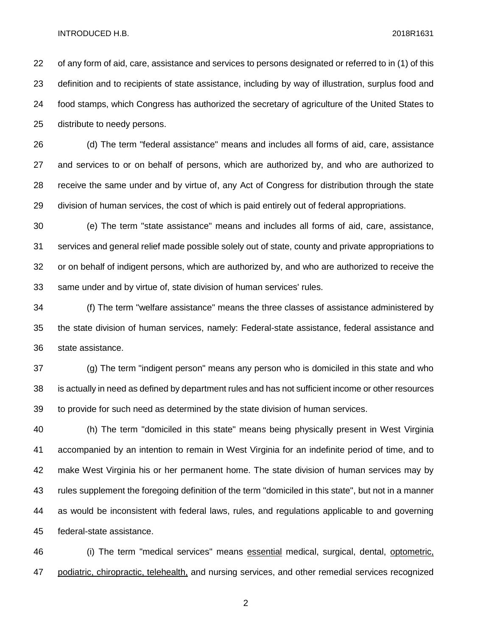#### INTRODUCED H.B. 2018R1631

 of any form of aid, care, assistance and services to persons designated or referred to in (1) of this definition and to recipients of state assistance, including by way of illustration, surplus food and food stamps, which Congress has authorized the secretary of agriculture of the United States to distribute to needy persons.

 (d) The term "federal assistance" means and includes all forms of aid, care, assistance and services to or on behalf of persons, which are authorized by, and who are authorized to receive the same under and by virtue of, any Act of Congress for distribution through the state division of human services, the cost of which is paid entirely out of federal appropriations.

 (e) The term "state assistance" means and includes all forms of aid, care, assistance, services and general relief made possible solely out of state, county and private appropriations to or on behalf of indigent persons, which are authorized by, and who are authorized to receive the same under and by virtue of, state division of human services' rules.

 (f) The term "welfare assistance" means the three classes of assistance administered by the state division of human services, namely: Federal-state assistance, federal assistance and state assistance.

 (g) The term "indigent person" means any person who is domiciled in this state and who is actually in need as defined by department rules and has not sufficient income or other resources to provide for such need as determined by the state division of human services.

 (h) The term "domiciled in this state" means being physically present in West Virginia accompanied by an intention to remain in West Virginia for an indefinite period of time, and to make West Virginia his or her permanent home. The state division of human services may by rules supplement the foregoing definition of the term "domiciled in this state", but not in a manner as would be inconsistent with federal laws, rules, and regulations applicable to and governing federal-state assistance.

46 (i) The term "medical services" means essential medical, surgical, dental, optometric, 47 podiatric, chiropractic, telehealth, and nursing services, and other remedial services recognized